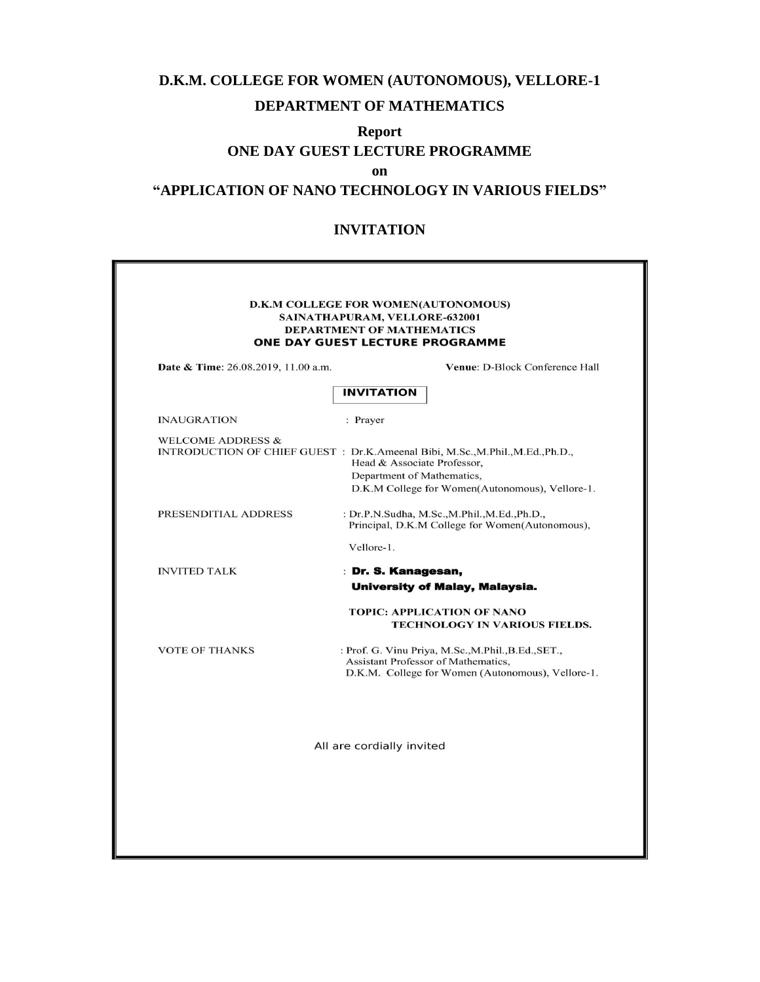# **D.K.M. COLLEGE FOR WOMEN (AUTONOMOUS), VELLORE-1 DEPARTMENT OF MATHEMATICS**

### **Report**

### **ONE DAY GUEST LECTURE PROGRAMME**

**on**

## **"APPLICATION OF NANO TECHNOLOGY IN VARIOUS FIELDS"**

#### **INVITATION**

| <b>D.K.M COLLEGE FOR WOMEN(AUTONOMOUS)</b><br>SAINATHAPURAM, VELLORE-632001<br><b>DEPARTMENT OF MATHEMATICS</b><br>ONE DAY GUEST LECTURE PROGRAMME<br>Date & Time: 26.08.2019, 11.00 a.m.<br><b>INVITATION</b><br><b>INAUGRATION</b><br>: Prayer<br><b>WELCOME ADDRESS &amp;</b><br>INTRODUCTION OF CHIEF GUEST : Dr.K.Ameenal Bibi, M.Sc., M.Phil., M.Ed., Ph.D.,<br>Head & Associate Professor,<br>Department of Mathematics,<br>D.K.M College for Women(Autonomous), Vellore-1.<br>PRESENDITIAL ADDRESS<br>: Dr.P.N.Sudha, M.Sc.,M.Phil.,M.Ed.,Ph.D.,<br>Principal, D.K.M College for Women(Autonomous),<br>Vellore-1.<br><b>INVITED TALK</b><br>: Dr. S. Kanagesan,<br><b>University of Malay, Malaysia.</b><br><b>TOPIC: APPLICATION OF NANO</b><br>TECHNOLOGY IN VARIOUS FIELDS.<br><b>VOTE OF THANKS</b><br>: Prof. G. Vinu Priya, M.Sc., M.Phil., B.Ed., SET.,<br>Assistant Professor of Mathematics,<br>D.K.M. College for Women (Autonomous), Vellore-1.<br>All are cordially invited |  |                                |
|-------------------------------------------------------------------------------------------------------------------------------------------------------------------------------------------------------------------------------------------------------------------------------------------------------------------------------------------------------------------------------------------------------------------------------------------------------------------------------------------------------------------------------------------------------------------------------------------------------------------------------------------------------------------------------------------------------------------------------------------------------------------------------------------------------------------------------------------------------------------------------------------------------------------------------------------------------------------------------------------------|--|--------------------------------|
|                                                                                                                                                                                                                                                                                                                                                                                                                                                                                                                                                                                                                                                                                                                                                                                                                                                                                                                                                                                                 |  |                                |
|                                                                                                                                                                                                                                                                                                                                                                                                                                                                                                                                                                                                                                                                                                                                                                                                                                                                                                                                                                                                 |  | Venue: D-Block Conference Hall |
|                                                                                                                                                                                                                                                                                                                                                                                                                                                                                                                                                                                                                                                                                                                                                                                                                                                                                                                                                                                                 |  |                                |
|                                                                                                                                                                                                                                                                                                                                                                                                                                                                                                                                                                                                                                                                                                                                                                                                                                                                                                                                                                                                 |  |                                |
|                                                                                                                                                                                                                                                                                                                                                                                                                                                                                                                                                                                                                                                                                                                                                                                                                                                                                                                                                                                                 |  |                                |
|                                                                                                                                                                                                                                                                                                                                                                                                                                                                                                                                                                                                                                                                                                                                                                                                                                                                                                                                                                                                 |  |                                |
|                                                                                                                                                                                                                                                                                                                                                                                                                                                                                                                                                                                                                                                                                                                                                                                                                                                                                                                                                                                                 |  |                                |
|                                                                                                                                                                                                                                                                                                                                                                                                                                                                                                                                                                                                                                                                                                                                                                                                                                                                                                                                                                                                 |  |                                |
|                                                                                                                                                                                                                                                                                                                                                                                                                                                                                                                                                                                                                                                                                                                                                                                                                                                                                                                                                                                                 |  |                                |
|                                                                                                                                                                                                                                                                                                                                                                                                                                                                                                                                                                                                                                                                                                                                                                                                                                                                                                                                                                                                 |  |                                |
|                                                                                                                                                                                                                                                                                                                                                                                                                                                                                                                                                                                                                                                                                                                                                                                                                                                                                                                                                                                                 |  |                                |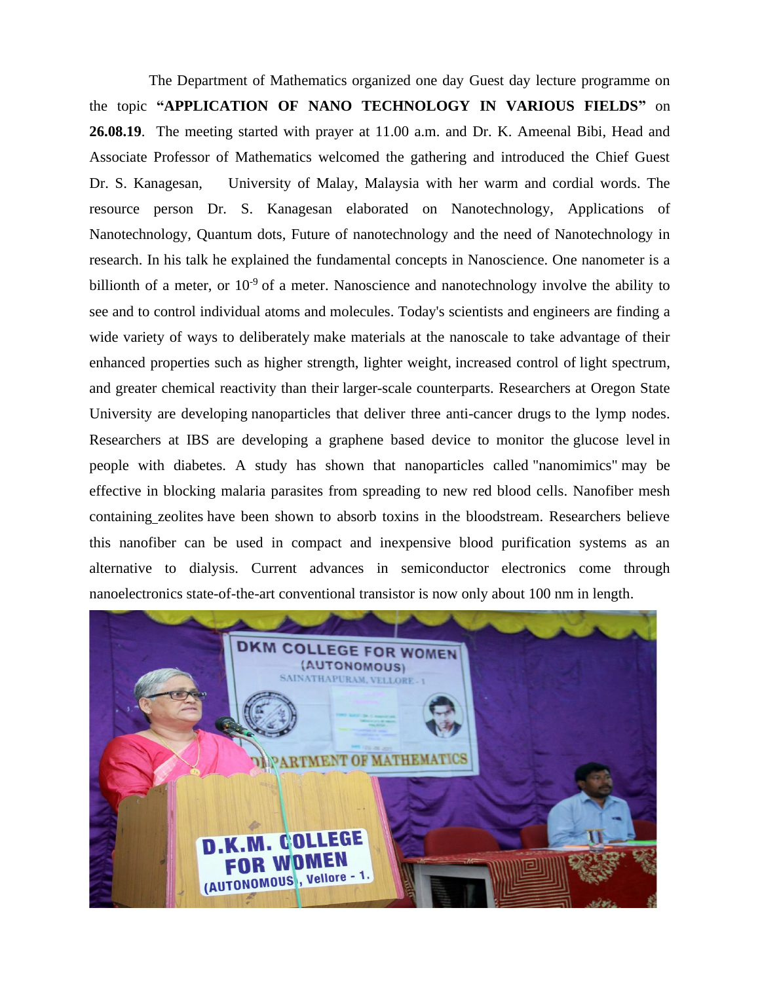The Department of Mathematics organized one day Guest day lecture programme on the topic **"APPLICATION OF NANO TECHNOLOGY IN VARIOUS FIELDS"** on **26.08.19**. The meeting started with prayer at 11.00 a.m. and Dr. K. Ameenal Bibi, Head and Associate Professor of Mathematics welcomed the gathering and introduced the Chief Guest Dr. S. Kanagesan, University of Malay, Malaysia with her warm and cordial words. The resource person Dr. S. Kanagesan elaborated on Nanotechnology, Applications of Nanotechnology, Quantum dots, Future of nanotechnology and the need of Nanotechnology in research. In his talk he explained the fundamental concepts in Nanoscience. One nanometer is a billionth of a meter, or  $10^{-9}$  of a meter. Nanoscience and nanotechnology involve the ability to see and to control individual atoms and molecules. Today's scientists and engineers are finding a wide variety of ways to deliberately make materials at the nanoscale to take advantage of their enhanced properties such as higher strength, lighter weight, increased control of light spectrum, and greater chemical reactivity than their larger-scale counterparts. Researchers at Oregon State University are developing nanoparticles that deliver three anti-cancer drugs to the lymp nodes. Researchers at IBS are developing a graphene based device to monitor the glucose level in people with diabetes. A study has shown that nanoparticles called "nanomimics" may be effective in blocking malaria parasites from spreading to new red blood cells. Nanofiber mesh containing zeolites have been shown to absorb toxins in the bloodstream. Researchers believe this nanofiber can be used in compact and inexpensive blood purification systems as an alternative to dialysis. Current advances in semiconductor electronics come through nanoelectronics state-of-the-art conventional transistor is now only about 100 nm in length.

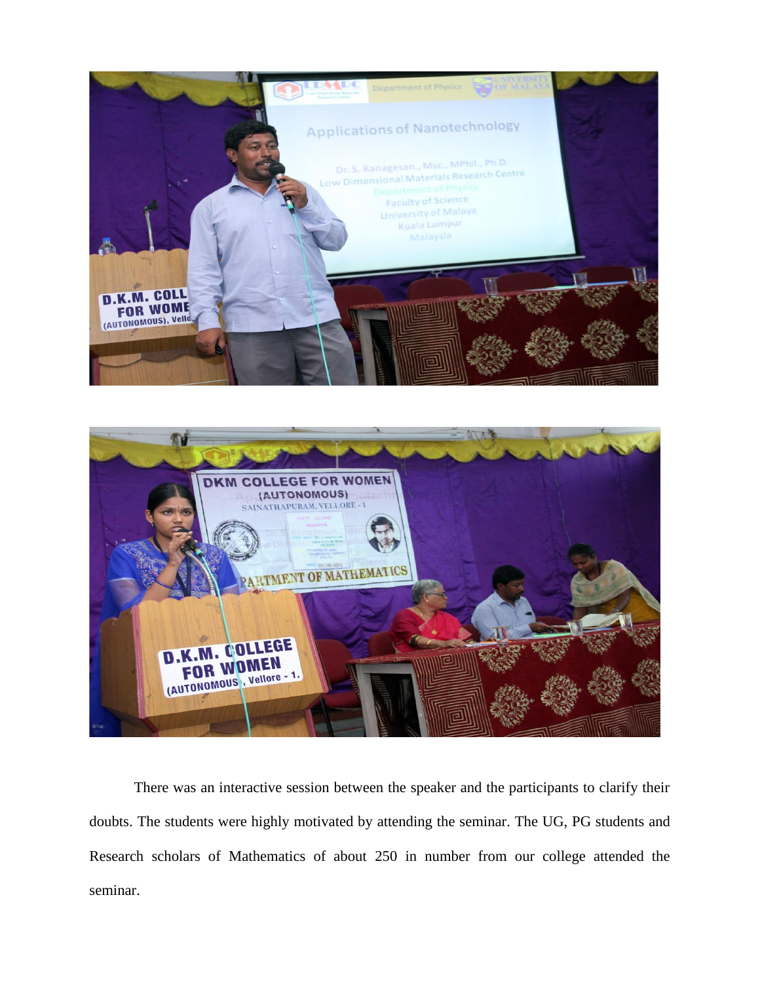



 There was an interactive session between the speaker and the participants to clarify their doubts. The students were highly motivated by attending the seminar. The UG, PG students and Research scholars of Mathematics of about 250 in number from our college attended the seminar.